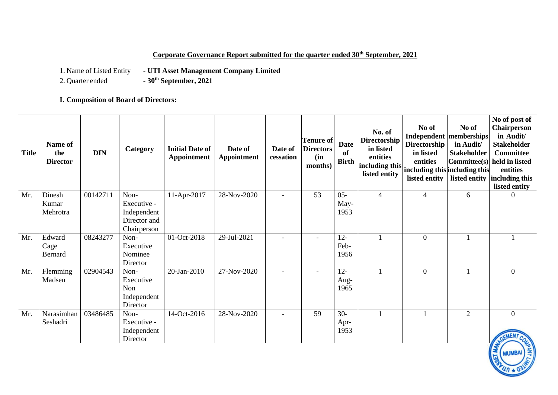# **Corporate Governance Report submitted for the quarter ended 30th September, 2021**

1. Name of Listed Entity **- UTI Asset Management Company Limited**<br>2. Quarter ended **- 30<sup>th</sup> September, 2021** 

2. Quarter ended **- 30th September, 2021**

# **I. Composition of Board of Directors:**

| <b>Title</b> | Name of<br>the<br><b>Director</b> | <b>DIN</b> | Category                                                          | <b>Initial Date of</b><br>Appointment | Date of<br><b>Appointment</b> | Date of<br>cessation     | Tenure of<br><b>Directors</b><br>(in<br>months) | <b>Date</b><br>of<br><b>Birth</b> | No. of<br><b>Directorship</b><br>in listed<br>entities<br>including this including this including this<br>listed entity | No of<br><b>Directorship</b><br>in listed<br>entities<br>listed entity | No of<br><b>Independent  memberships </b><br>in Audit/<br><b>Stakeholder</b><br>listed entity | No of post of<br><b>Chairperson</b><br>in Audit/<br><b>Stakeholder</b><br><b>Committee</b><br>Committee(s) held in listed<br>entities<br>including this<br>listed entity |
|--------------|-----------------------------------|------------|-------------------------------------------------------------------|---------------------------------------|-------------------------------|--------------------------|-------------------------------------------------|-----------------------------------|-------------------------------------------------------------------------------------------------------------------------|------------------------------------------------------------------------|-----------------------------------------------------------------------------------------------|--------------------------------------------------------------------------------------------------------------------------------------------------------------------------|
| Mr.          | Dinesh<br>Kumar<br>Mehrotra       | 00142711   | Non-<br>Executive -<br>Independent<br>Director and<br>Chairperson | 11-Apr-2017                           | 28-Nov-2020                   | $\overline{\phantom{0}}$ | 53                                              | $05 -$<br>May-<br>1953            | $\overline{4}$                                                                                                          | $\overline{4}$                                                         | 6                                                                                             | $\Omega$                                                                                                                                                                 |
| Mr.          | Edward<br>Cage<br><b>Bernard</b>  | 08243277   | Non-<br>Executive<br>Nominee<br>Director                          | 01-Oct-2018                           | 29-Jul-2021                   | $\overline{\phantom{a}}$ | $\overline{\phantom{a}}$                        | $12 -$<br>Feb-<br>1956            |                                                                                                                         | $\overline{0}$                                                         |                                                                                               |                                                                                                                                                                          |
| Mr.          | Flemming<br>Madsen                | 02904543   | Non-<br>Executive<br>Non<br>Independent<br>Director               | 20-Jan-2010                           | 27-Nov-2020                   |                          |                                                 | $12 -$<br>Aug-<br>1965            |                                                                                                                         | $\boldsymbol{0}$                                                       |                                                                                               | $\overline{0}$                                                                                                                                                           |
| Mr.          | Narasimhan<br>Seshadri            | 03486485   | Non-<br>Executive -<br>Independent<br>Director                    | 14-Oct-2016                           | 28-Nov-2020                   |                          | 59                                              | $30 -$<br>Apr-<br>1953            |                                                                                                                         |                                                                        | $\overline{2}$                                                                                | $\Omega$                                                                                                                                                                 |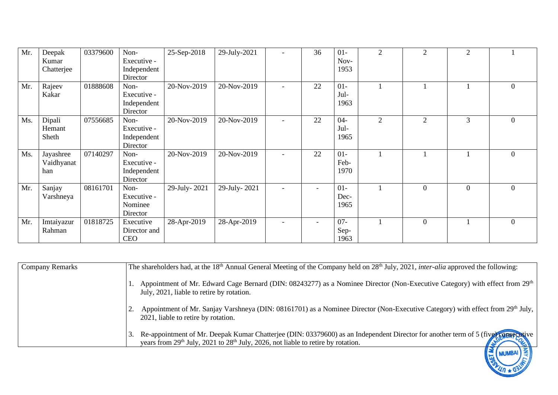| Mr. | Deepak     | 03379600 | Non-         | 25-Sep-2018  | 29-July-2021 | 36                       | $01-$  | $\overline{2}$ | $\overline{2}$   | $\overline{2}$ |                  |
|-----|------------|----------|--------------|--------------|--------------|--------------------------|--------|----------------|------------------|----------------|------------------|
|     | Kumar      |          | Executive -  |              |              |                          | Nov-   |                |                  |                |                  |
|     | Chatterjee |          | Independent  |              |              |                          | 1953   |                |                  |                |                  |
|     |            |          | Director     |              |              |                          |        |                |                  |                |                  |
| Mr. | Rajeev     | 01888608 | Non-         | 20-Nov-2019  | 20-Nov-2019  | 22                       | $01-$  |                |                  |                | 0                |
|     | Kakar      |          | Executive -  |              |              |                          | Jul-   |                |                  |                |                  |
|     |            |          | Independent  |              |              |                          | 1963   |                |                  |                |                  |
|     |            |          | Director     |              |              |                          |        |                |                  |                |                  |
| Ms. | Dipali     | 07556685 | Non-         | 20-Nov-2019  | 20-Nov-2019  | 22                       | $04 -$ | $\overline{2}$ | $\overline{2}$   | 3              | $\boldsymbol{0}$ |
|     | Hemant     |          | Executive -  |              |              |                          | Jul-   |                |                  |                |                  |
|     | Sheth      |          | Independent  |              |              |                          | 1965   |                |                  |                |                  |
|     |            |          | Director     |              |              |                          |        |                |                  |                |                  |
| Ms. | Jayashree  | 07140297 | Non-         | 20-Nov-2019  | 20-Nov-2019  | 22                       | $01-$  |                |                  |                | $\Omega$         |
|     | Vaidhyanat |          | Executive -  |              |              |                          | Feb-   |                |                  |                |                  |
|     | han        |          | Independent  |              |              |                          | 1970   |                |                  |                |                  |
|     |            |          | Director     |              |              |                          |        |                |                  |                |                  |
| Mr. | Sanjay     | 08161701 | Non-         | 29-July-2021 | 29-July-2021 |                          | $01-$  |                | $\boldsymbol{0}$ | $\overline{0}$ | $\theta$         |
|     | Varshneya  |          | Executive -  |              |              |                          | Dec-   |                |                  |                |                  |
|     |            |          | Nominee      |              |              |                          | 1965   |                |                  |                |                  |
|     |            |          | Director     |              |              |                          |        |                |                  |                |                  |
| Mr. | Imtaiyazur | 01818725 | Executive    | 28-Apr-2019  | 28-Apr-2019  | $\overline{\phantom{a}}$ | $07 -$ |                | $\overline{0}$   |                | $\overline{0}$   |
|     | Rahman     |          | Director and |              |              |                          | Sep-   |                |                  |                |                  |
|     |            |          | <b>CEO</b>   |              |              |                          | 1963   |                |                  |                |                  |

| <b>Company Remarks</b> | The shareholders had, at the 18 <sup>th</sup> Annual General Meeting of the Company held on $28th$ July, 2021, <i>inter-alia</i> approved the following:                                                                                      |
|------------------------|-----------------------------------------------------------------------------------------------------------------------------------------------------------------------------------------------------------------------------------------------|
|                        | Appointment of Mr. Edward Cage Bernard (DIN: 08243277) as a Nominee Director (Non-Executive Category) with effect from 29 <sup>th</sup><br>July, 2021, liable to retire by rotation.                                                          |
|                        | Appointment of Mr. Sanjay Varshneya (DIN: 08161701) as a Nominee Director (Non-Executive Category) with effect from 29th July,<br>2021, liable to retire by rotation.                                                                         |
|                        | Re-appointment of Mr. Deepak Kumar Chatterjee (DIN: 03379600) as an Independent Director for another term of 5 (five) consecutive<br>years from 29 <sup>th</sup> July, 2021 to 28 <sup>th</sup> July, 2026, not liable to retire by rotation. |
|                        |                                                                                                                                                                                                                                               |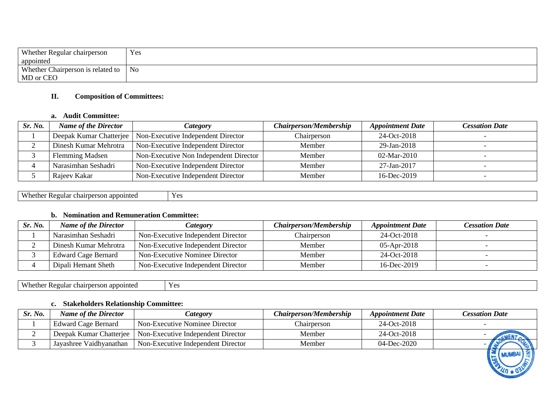| <b>Whether Regular chairperson</b> | Yes |
|------------------------------------|-----|
| appointed                          |     |
| Whether Chairperson is related to  | No  |
| MD or CEO                          |     |

## **II. Composition of Committees:**

## **a. Audit Committee:**

| Sr. No. | <b>Name of the Director</b> | <i>Category</i>                                              | <b>Chairperson/Membership</b> | <b>Appointment Date</b> | <b>Cessation Date</b> |
|---------|-----------------------------|--------------------------------------------------------------|-------------------------------|-------------------------|-----------------------|
|         |                             | Deepak Kumar Chatterjee   Non-Executive Independent Director | Chairperson                   | 24-Oct-2018             |                       |
|         | Dinesh Kumar Mehrotra       | Non-Executive Independent Director                           | Member                        | 29-Jan-2018             |                       |
|         | <b>Flemming Madsen</b>      | Non-Executive Non Independent Director                       | Member                        | 02-Mar-2010             |                       |
|         | Narasimhan Seshadri         | Non-Executive Independent Director                           | Member                        | 27-Jan-2017             |                       |
|         | Rajeev Kakar                | Non-Executive Independent Director                           | Member                        | 16-Dec-2019             |                       |

| $\mathbf{V}$<br>appointed<br>egular<br>chairperson | $\mathbf{v}$ $\alpha$<br>$\mathbf{r}$ |
|----------------------------------------------------|---------------------------------------|
|                                                    |                                       |

# **b. Nomination and Remuneration Committee:**

| Sr. No. | <b>Name of the Director</b> | <i>Category</i>                    | <b>Chairperson/Membership</b> | <b>Appointment Date</b> | <b>Cessation Date</b> |
|---------|-----------------------------|------------------------------------|-------------------------------|-------------------------|-----------------------|
|         | Narasimhan Seshadri         | Non-Executive Independent Director | Chairperson                   | 24-Oct-2018             |                       |
|         | Dinesh Kumar Mehrotra       | Non-Executive Independent Director | Member                        | $05-Apr-2018$           |                       |
|         | <b>Edward Cage Bernard</b>  | Non-Executive Nominee Director     | Member                        | 24-Oct-2018             |                       |
|         | Dipali Hemant Sheth         | Non-Executive Independent Director | Member                        | $16$ -Dec-2019          |                       |

Whether Regular chairperson appointed Yes

# **c. Stakeholders Relationship Committee:**

| Sr. No. | <b>Name of the Director</b> | <i>Category</i>                    | <b>Chairperson/Membership</b> | <b>Appointment Date</b> | <b>Cessation Date</b> |
|---------|-----------------------------|------------------------------------|-------------------------------|-------------------------|-----------------------|
|         | <b>Edward Cage Bernard</b>  | Non-Executive Nominee Director     | Chairperson                   | 24-Oct-2018             |                       |
|         | Deepak Kumar Chatteriee     | Non-Executive Independent Director | Member                        | 24-Oct-2018             | <b>CALEN</b>          |
|         | Jayashree Vaidhyanathan     | Non-Executive Independent Director | Member                        | 04-Dec-2020             |                       |
|         |                             |                                    |                               |                         | $II \geq I$           |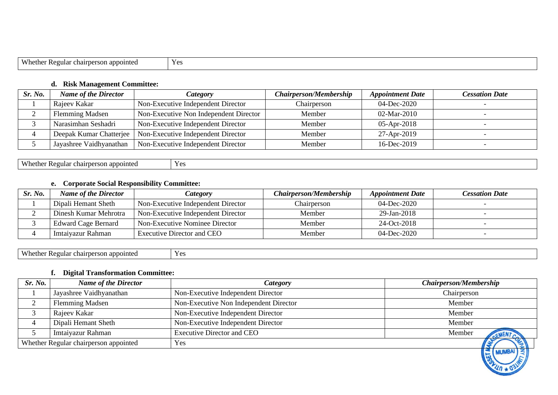| Wh.<br>.nno:<br>.<br>,,,, | $\sim$ |
|---------------------------|--------|

## **d. Risk Management Committee:**

| Sr. No. | <b>Name of the Director</b> | Category                                                     | <b>Chairperson/Membership</b> | <b>Appointment Date</b> | <b>Cessation Date</b> |
|---------|-----------------------------|--------------------------------------------------------------|-------------------------------|-------------------------|-----------------------|
|         | Rajeev Kakar                | Non-Executive Independent Director                           | Chairperson                   | 04-Dec-2020             |                       |
|         | <b>Flemming Madsen</b>      | Non-Executive Non Independent Director                       | Member                        | 02-Mar-2010             |                       |
|         | Narasimhan Seshadri         | Non-Executive Independent Director                           | Member                        | 05-Apr-2018             |                       |
|         |                             | Deepak Kumar Chatterjee   Non-Executive Independent Director | Member                        | 27-Apr-2019             |                       |
|         | Jayashree Vaidhyanathan     | Non-Executive Independent Director                           | Member                        | 16-Dec-2019             |                       |

| X/h<br>appointed<br>person.<br>Regular<br>athar<br>chair<br>. | $V$ $\alpha$<br>л.<br>. |
|---------------------------------------------------------------|-------------------------|
|                                                               |                         |

# **e. Corporate Social Responsibility Committee:**

| Sr. No. | <b>Name of the Director</b> | <b>Category</b>                    | <b>Chairperson/Membership</b> | <b>Appointment Date</b> | <b>Cessation Date</b> |
|---------|-----------------------------|------------------------------------|-------------------------------|-------------------------|-----------------------|
|         | Dipali Hemant Sheth         | Non-Executive Independent Director | Chairperson                   | 04-Dec-2020             |                       |
|         | Dinesh Kumar Mehrotra       | Non-Executive Independent Director | Member                        | 29-Jan-2018             |                       |
|         | <b>Edward Cage Bernard</b>  | Non-Executive Nominee Director     | Member                        | 24-Oct-2018             |                       |
|         | Imtaiyazur Rahman           | Executive Director and CEO         | Member                        | 04-Dec-2020             |                       |

Whether Regular chairperson appointed Yes

## **f. Digital Transformation Committee:**

| Sr. No. | <b>Name of the Director</b>           | Category                               | <b>Chairperson/Membership</b> |
|---------|---------------------------------------|----------------------------------------|-------------------------------|
|         | Jayashree Vaidhyanathan               | Non-Executive Independent Director     | Chairperson                   |
|         | <b>Flemming Madsen</b>                | Non-Executive Non Independent Director | Member                        |
|         | Rajeev Kakar                          | Non-Executive Independent Director     | Member                        |
|         | Dipali Hemant Sheth                   | Non-Executive Independent Director     | Member                        |
|         | Imtaiyazur Rahman                     | <b>Executive Director and CEO</b>      | Member                        |
|         | Whether Regular chairperson appointed | Yes                                    | 学                             |
|         |                                       |                                        | $  =$ [MIMRAI] $\ge$ ]        |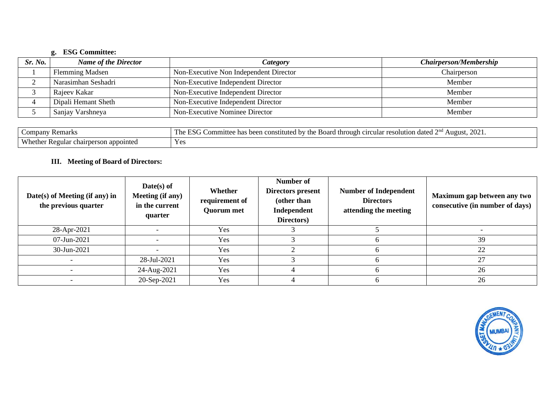# **g. ESG Committee:**

| Sr. No. | <b>Name of the Director</b> | <i>Category</i>                        | <b>Chairperson/Membership</b> |
|---------|-----------------------------|----------------------------------------|-------------------------------|
|         | <b>Flemming Madsen</b>      | Non-Executive Non Independent Director | Chairperson                   |
|         | Narasimhan Seshadri         | Non-Executive Independent Director     | Member                        |
|         | Rajeev Kakar                | Non-Executive Independent Director     | Member                        |
|         | Dipali Hemant Sheth         | Non-Executive Independent Director     | Member                        |
|         | Sanjay Varshneya            | Non-Executive Nominee Director         | Member                        |

| Company<br><b>Pam</b><br>≃ (АСШАНК)                       | 202<br>$\sim$ $\sim$<br>the<br>. .<br>mittee<br>ha<br>omr<br>$\gamma$ 110 h<br>urcular ra<br>haar<br>utior<br>I ne<br>cons<br>tituted<br>August<br>Boarc<br>-dated<br>эv |
|-----------------------------------------------------------|--------------------------------------------------------------------------------------------------------------------------------------------------------------------------|
| Wh.<br>appointed<br>chair<br>ethe<br>oulai<br>person<br>w | $\mathbf{v}$<br>* ‴                                                                                                                                                      |

# **III. Meeting of Board of Directors:**

| Date(s) of Meeting (if any) in<br>the previous quarter | $Date(s)$ of<br>Meeting (if any)<br>in the current<br>quarter | Whether<br>requirement of<br><b>Quorum met</b> | Number of<br>Directors present<br>(other than<br>Independent<br>Directors) | <b>Number of Independent</b><br><b>Directors</b><br>attending the meeting | Maximum gap between any two<br>consecutive (in number of days) |
|--------------------------------------------------------|---------------------------------------------------------------|------------------------------------------------|----------------------------------------------------------------------------|---------------------------------------------------------------------------|----------------------------------------------------------------|
| 28-Apr-2021                                            |                                                               | Yes                                            |                                                                            |                                                                           |                                                                |
| 07-Jun-2021                                            |                                                               | Yes                                            |                                                                            |                                                                           | 39                                                             |
| 30-Jun-2021                                            |                                                               | Yes                                            |                                                                            |                                                                           | 22                                                             |
|                                                        | 28-Jul-2021                                                   | Yes                                            |                                                                            |                                                                           | 27                                                             |
|                                                        | 24-Aug-2021                                                   | Yes                                            |                                                                            |                                                                           | 26                                                             |
|                                                        | 20-Sep-2021                                                   | Yes                                            |                                                                            |                                                                           | 26                                                             |

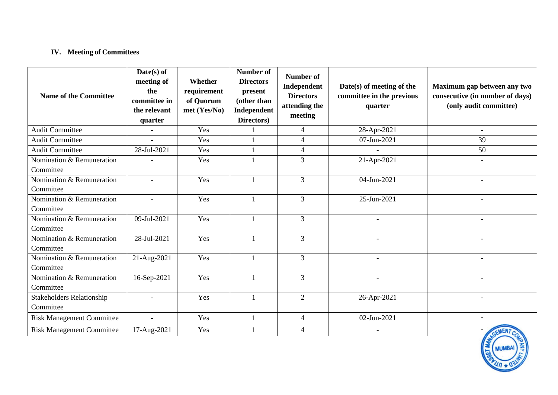# **IV. Meeting of Committees**

| <b>Name of the Committee</b>                  | Date(s) of<br>meeting of<br>the<br>committee in<br>the relevant<br>quarter | Whether<br>requirement<br>of Quorum<br>met (Yes/No) | <b>Number of</b><br><b>Directors</b><br>present<br>(other than<br>Independent<br>Directors) | <b>Number of</b><br>Independent<br><b>Directors</b><br>attending the<br>meeting | Date(s) of meeting of the<br>committee in the previous<br>quarter | Maximum gap between any two<br>consecutive (in number of days)<br>(only audit committee) |
|-----------------------------------------------|----------------------------------------------------------------------------|-----------------------------------------------------|---------------------------------------------------------------------------------------------|---------------------------------------------------------------------------------|-------------------------------------------------------------------|------------------------------------------------------------------------------------------|
| <b>Audit Committee</b>                        | $\sim$                                                                     | Yes                                                 |                                                                                             | $\overline{4}$                                                                  | 28-Apr-2021                                                       | $\overline{a}$                                                                           |
| <b>Audit Committee</b>                        | $\overline{\phantom{a}}$                                                   | Yes                                                 |                                                                                             | $\overline{4}$                                                                  | 07-Jun-2021                                                       | 39                                                                                       |
| <b>Audit Committee</b>                        | 28-Jul-2021                                                                | Yes                                                 |                                                                                             | $\overline{4}$                                                                  |                                                                   | 50                                                                                       |
| Nomination & Remuneration<br>Committee        |                                                                            | Yes                                                 |                                                                                             | 3                                                                               | 21-Apr-2021                                                       |                                                                                          |
| Nomination & Remuneration<br>Committee        | $\overline{a}$                                                             | Yes                                                 |                                                                                             | 3                                                                               | 04-Jun-2021                                                       |                                                                                          |
| Nomination & Remuneration<br>Committee        | $\blacksquare$                                                             | Yes                                                 |                                                                                             | 3                                                                               | 25-Jun-2021                                                       | $\overline{\phantom{0}}$                                                                 |
| Nomination & Remuneration<br>Committee        | 09-Jul-2021                                                                | Yes                                                 |                                                                                             | 3                                                                               |                                                                   |                                                                                          |
| Nomination & Remuneration<br>Committee        | 28-Jul-2021                                                                | Yes                                                 |                                                                                             | 3                                                                               |                                                                   |                                                                                          |
| Nomination & Remuneration<br>Committee        | 21-Aug-2021                                                                | Yes                                                 |                                                                                             | $\overline{3}$                                                                  | $\overline{\phantom{0}}$                                          |                                                                                          |
| Nomination & Remuneration<br>Committee        | 16-Sep-2021                                                                | Yes                                                 |                                                                                             | 3                                                                               |                                                                   |                                                                                          |
| <b>Stakeholders Relationship</b><br>Committee | $\overline{a}$                                                             | Yes                                                 |                                                                                             | $\overline{2}$                                                                  | 26-Apr-2021                                                       | $\blacksquare$                                                                           |
| <b>Risk Management Committee</b>              | $\overline{a}$                                                             | Yes                                                 |                                                                                             | $\overline{4}$                                                                  | 02-Jun-2021                                                       |                                                                                          |
| <b>Risk Management Committee</b>              | 17-Aug-2021                                                                | Yes                                                 |                                                                                             | 4                                                                               | $\overline{\phantom{a}}$                                          |                                                                                          |

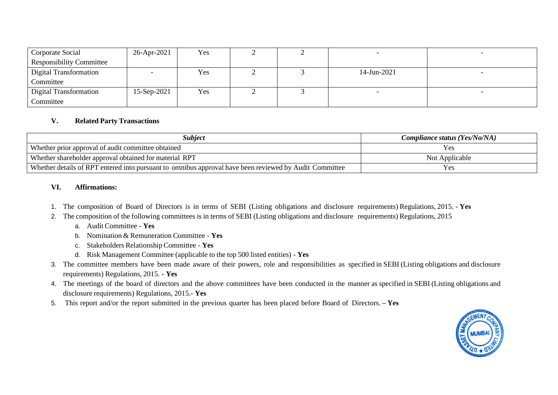| Corporate Social                | 26-Apr-2021 | Yes |  |             |  |
|---------------------------------|-------------|-----|--|-------------|--|
| <b>Responsibility Committee</b> |             |     |  |             |  |
| Digital Transformation          |             | Yes |  | 14-Jun-2021 |  |
| Committee                       |             |     |  |             |  |
| Digital Transformation          | 15-Sep-2021 | Yes |  |             |  |
| Committee                       |             |     |  |             |  |

#### **V. Related Party Transactions**

| Subject                                                                                                | Compliance status (Yes/No/NA) |
|--------------------------------------------------------------------------------------------------------|-------------------------------|
| Whether prior approval of audit committee obtained                                                     | <b>Y</b> es                   |
| Whether shareholder approval obtained for material RPT                                                 | Not Applicable                |
| Whether details of RPT entered into pursuant to omnibus approval have been reviewed by Audit Committee | Yes                           |

#### **VI. Affirmations:**

- 1. The composition of Board of Directors is in terms of SEBI (Listing obligations and disclosure requirements) Regulations, 2015. **Yes**
- 2. The composition of the following committees is in terms of SEBI (Listing obligations and disclosure requirements) Regulations, 2015
	- a. Audit Committee **Yes**
	- b. Nomination & Remuneration Committee **Yes**
	- c. Stakeholders RelationshipCommittee **Yes**
	- d. Risk Management Committee (applicable to the top 500 listed entities) **- Yes**
- 3. The committee members have been made aware of their powers, role and responsibilities as specified in SEBI (Listing obligations and disclosure requirements) Regulations, 2015. **- Yes**
- 4. The meetings of the board of directors and the above committees have been conducted in the manner as specified in SEBI (Listing obligations and disclosure requirements) Regulations, 2015.**- Yes**
- 5. This report and/or the report submitted in the previous quarter has been placed before Board of Directors. **– Yes**

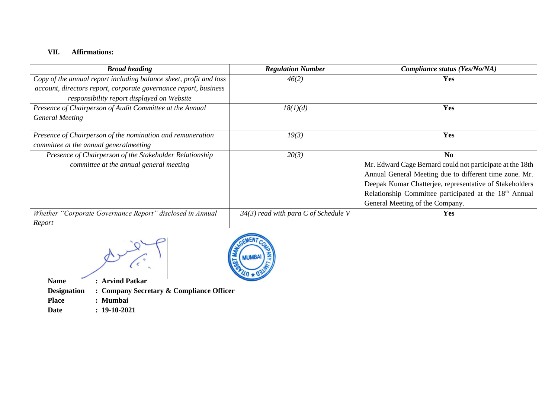# **VII. Affirmations:**

| <b>Broad heading</b>                                               | <b>Regulation Number</b>               | Compliance status (Yes/No/NA)                                      |
|--------------------------------------------------------------------|----------------------------------------|--------------------------------------------------------------------|
| Copy of the annual report including balance sheet, profit and loss | 46(2)                                  | Yes                                                                |
| account, directors report, corporate governance report, business   |                                        |                                                                    |
| responsibility report displayed on Website                         |                                        |                                                                    |
| Presence of Chairperson of Audit Committee at the Annual           | 18(1)(d)                               | Yes                                                                |
| <b>General Meeting</b>                                             |                                        |                                                                    |
| Presence of Chairperson of the nomination and remuneration         | 19(3)                                  | Yes                                                                |
| committee at the annual generalmeeting                             |                                        |                                                                    |
| Presence of Chairperson of the Stakeholder Relationship            | 20(3)                                  | N <sub>0</sub>                                                     |
| committee at the annual general meeting                            |                                        | Mr. Edward Cage Bernard could not participate at the 18th          |
|                                                                    |                                        | Annual General Meeting due to different time zone. Mr.             |
|                                                                    |                                        | Deepak Kumar Chatterjee, representative of Stakeholders            |
|                                                                    |                                        | Relationship Committee participated at the 18 <sup>th</sup> Annual |
|                                                                    |                                        | General Meeting of the Company.                                    |
| Whether "Corporate Governance Report" disclosed in Annual          | $34(3)$ read with para C of Schedule V | <b>Yes</b>                                                         |
| Report                                                             |                                        |                                                                    |



**Name : Arvind Patkar Designation : Company Secretary & Compliance Officer Place : Mumbai**

**Date : 19-10-2021**

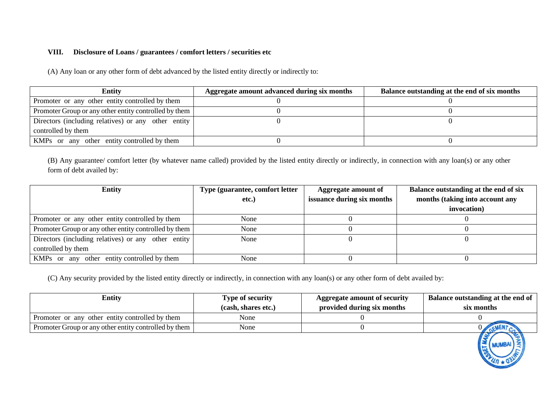#### **VIII. Disclosure of Loans / guarantees / comfort letters / securities etc**

(A) Any loan or any other form of debt advanced by the listed entity directly or indirectly to:

| <b>Entity</b>                                         | Aggregate amount advanced during six months | Balance outstanding at the end of six months |
|-------------------------------------------------------|---------------------------------------------|----------------------------------------------|
| Promoter or any other entity controlled by them       |                                             |                                              |
| Promoter Group or any other entity controlled by them |                                             |                                              |
| Directors (including relatives) or any other entity   |                                             |                                              |
| controlled by them                                    |                                             |                                              |
| KMPs or any other entity controlled by them           |                                             |                                              |

(B) Any guarantee/ comfort letter (by whatever name called) provided by the listed entity directly or indirectly, in connection with any loan(s) or any other form of debt availed by:

| <b>Entity</b>                                         | Type (guarantee, comfort letter | Aggregate amount of        | Balance outstanding at the end of six |
|-------------------------------------------------------|---------------------------------|----------------------------|---------------------------------------|
|                                                       | etc.)                           | issuance during six months | months (taking into account any       |
|                                                       |                                 |                            | invocation)                           |
| Promoter or any other entity controlled by them       | None                            |                            |                                       |
| Promoter Group or any other entity controlled by them | None                            |                            |                                       |
| Directors (including relatives) or any other entity   | None                            |                            |                                       |
| controlled by them                                    |                                 |                            |                                       |
| KMPs or any other entity controlled by them           | None                            |                            |                                       |

(C) Any security provided by the listed entity directly or indirectly, in connection with any loan(s) or any other form of debt availed by:

| <b>Entity</b>                                         | <b>Type of security</b> | Aggregate amount of security | Balance outstanding at the end of |
|-------------------------------------------------------|-------------------------|------------------------------|-----------------------------------|
|                                                       | (cash, shares etc.)     | provided during six months   | six months                        |
| Promoter or any other entity controlled by them       | None                    |                              |                                   |
| Promoter Group or any other entity controlled by them | None                    |                              |                                   |
|                                                       |                         |                              |                                   |